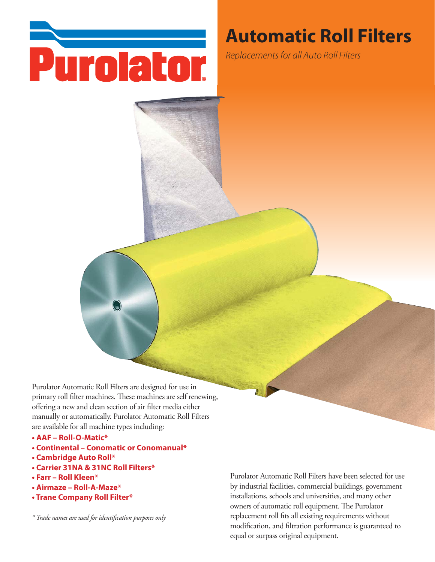

# **Automatic Roll Filters**

Replacements for all Auto Roll Filters

Purolator Automatic Roll Filters are designed for use in primary roll filter machines. These machines are self renewing, offering a new and clean section of air filter media either manually or automatically. Purolator Automatic Roll Filters are available for all machine types including:

- **AAF Roll-O-Matic\***
- **Continental Conomatic or Conomanual\***
- **Cambridge Auto Roll\***
- **Carrier 31NA & 31NC Roll Filters\***
- **Farr Roll Kleen\***
- **Airmaze Roll-A-Maze\***
- **Trane Company Roll Filter\***

*\* Trade names are used for identification purposes only*

Purolator Automatic Roll Filters have been selected for use by industrial facilities, commercial buildings, government installations, schools and universities, and many other owners of automatic roll equipment. The Purolator replacement roll fits all existing requirements without modification, and filtration performance is guaranteed to equal or surpass original equipment.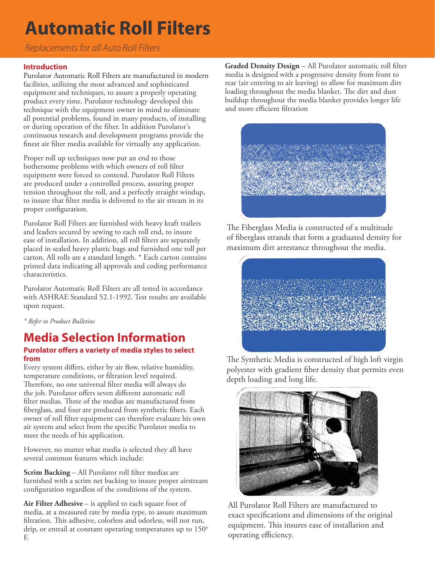# **Automatic Roll Filters**

# Replacements for all Auto Roll Filters

### **Introduction**

Purolator Automatic Roll Filters are manufactured in modern facilities, utilizing the most advanced and sophisticated equipment and techniques, to assure a properly operating product every time. Purolator technology developed this technique with the equipment owner in mind to eliminate all potential problems, found in many products, of installing or during operation of the filter. In addition Purolator's continuous research and development programs provide the finest air filter media available for virtually any application.

Proper roll up techniques now put an end to those bothersome problems with which owners of roll filter equipment were forced to contend. Purolator Roll Filters are produced under a controlled process, assuring proper tension throughout the roll, and a perfectly straight windup, to insure that filter media is delivered to the air stream in its proper configuration.

Purolator Roll Filters are furnished with heavy kraft trailers and leaders secured by sewing to each roll end, to insure ease of installation. In addition, all roll filters are separately placed in sealed heavy plastic bags and furnished one roll per carton. All rolls are a standard length. \* Each carton contains printed data indicating all approvals and coding performance characteristics.

Purolator Automatic Roll Filters are all tested in accordance with ASHRAE Standard 52.1-1992. Test results are available upon request.

*\* Refer to Product Bulletins*

## **Purolator offers a variety of media styles to select from Media Selection Information**

Every system differs, either by air flow, relative humidity, temperature conditions, or filtration level required. Therefore, no one universal filter media will always do the job. Purolator offers seven different automatic roll filter medias. Three of the medias are manufactured from fiberglass, and four are produced from synthetic fibers. Each owner of roll filter equipment can therefore evaluate his own air system and select from the specific Purolator media to meet the needs of his application.

However, no matter what media is selected they all have several common features which include:

**Scrim Backing** – All Purolator roll filter medias are furnished with a scrim net backing to insure proper airstream configuration regardless of the conditions of the system.

**Air Filter Adhesive** – is applied to each square foot of media, at a measured rate by media type, to assure maximum filtration. This adhesive, colorless and odorless, will not run, drip, or entrail at constant operating temperatures up to  $150^\circ$ F.

**Graded Density Design** – All Purolator automatic roll filter media is designed with a progressive density from front to rear (air entering to air leaving) to allow for maximum dirt loading throughout the media blanket. The dirt and dust buildup throughout the media blanket provides longer life and more efficient filtration



The Fiberglass Media is constructed of a multitude of fiberglass strands that form a graduated density for maximum dirt arrestance throughout the media.



The Synthetic Media is constructed of high loft virgin polyester with gradient fiber density that permits even depth loading and long life.



All Purolator Roll Filters are manufactured to exact specifications and dimensions of the original equipment. This insures ease of installation and operating efficiency.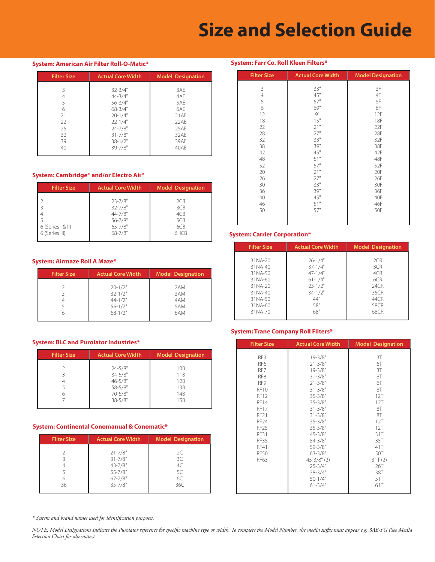# **Size and Selection Guide**

**System: Farr Co. Roll Kleen Filters\*** 

 $\overline{3}$  $\overline{4}$  $\overline{5}$ 

#### **System: American Air Filter Roll-O-Matic\***

| <b>Filter Size</b> | <b>Actual Core Width</b> | <b>Model Designation</b> |  |  |
|--------------------|--------------------------|--------------------------|--|--|
|                    |                          |                          |  |  |
|                    | $32 - 3/4"$              | 3AE                      |  |  |
|                    | $44 - 3/4"$              | 4AE                      |  |  |
|                    | $56 - 3/4"$              | 5AF                      |  |  |
| 6                  | $68 - 3/4"$              | 6AF                      |  |  |
| 21                 | $20 - 1/4"$              | 21AE                     |  |  |
| 22                 | $22 - 1/4"$              | 22AE                     |  |  |
| 25                 | $24 - 7/8"$              | 25AE                     |  |  |
| 32                 | $31 - 7/8"$              | 32AE                     |  |  |
| 39                 | $38 - 1/2"$              | 39AE                     |  |  |
| 40                 | $39 - 7/8"$              | 40AE                     |  |  |

#### **System: Cambridge\* and/or Electro Air\***

| <b>Filter Size</b>  | <b>Actual Core Width</b> | <b>Model Designation</b> |  |  |
|---------------------|--------------------------|--------------------------|--|--|
|                     | $23 - 7/8"$              | 2CB                      |  |  |
|                     | $32 - 7/8"$              | 3CB                      |  |  |
|                     | $44 - 7/8"$              | 4CB                      |  |  |
|                     | $56 - 7/8"$              | 5CB                      |  |  |
| $6$ (Series $8$ II) | $65 - 7/8"$              | 6CB                      |  |  |
| 6 (Series III)      | $68 - 7/8"$              | 6HCB                     |  |  |

#### **System: Airmaze Roll A Maze\***

| <b>Filter Size</b> | <b>Actual Core Width</b>                                                 | <b>Model Designation</b>        |
|--------------------|--------------------------------------------------------------------------|---------------------------------|
|                    | $20 - 1/2"$<br>$32 - 1/2$ "<br>$44 - 1/2"$<br>$56 - 1/2"$<br>$68 - 1/2"$ | 2AM<br>3AM<br>4AM<br>5AM<br>6AM |

#### **System: BLC and Purolator Industries\***

| <b>Filter Size</b> | <b>Actual Core Width</b> | <b>Model Designation</b> |  |
|--------------------|--------------------------|--------------------------|--|
|                    |                          |                          |  |
|                    | $24 - 5/8"$              | 10 <sub>B</sub>          |  |
|                    | $34 - 5/8"$              | 11 <sub>B</sub>          |  |
|                    | $46 - 5/8"$              | 12B                      |  |
|                    | 58-5/8"                  | 13B                      |  |
|                    | $70 - 5/8"$              | 14 <sub>B</sub>          |  |
|                    | $38 - 5/8"$              | 15 <sub>B</sub>          |  |
|                    |                          |                          |  |

#### **System: Continental Conomanual & Conomatic\***

| <b>Filter Size</b> | <b>Actual Core Width</b>                                                               | <b>Model Designation</b>          |
|--------------------|----------------------------------------------------------------------------------------|-----------------------------------|
| 36                 | $21 - 7/8"$<br>$31 - 7/8"$<br>$43 - 7/8"$<br>$55 - 7/8"$<br>$67 - 7/8"$<br>$35 - 7/8"$ | 2C<br>3C<br>4C<br>5C<br>6C<br>36C |

*\* System and brand names used for identification purposes.* 

#### RF10  $31 - 3/8"$ 8T

| 6  | 69" | 6F         |
|----|-----|------------|
| 12 | 9"  | 12F        |
| 18 | 15" | <b>18F</b> |
| 22 | 21" | 22F        |
| 28 | 27" | 28F        |
| 32 | 33" | 32F        |
| 38 | 39" | 38F        |
| 42 | 45" | 42F        |
| 48 | 51" | 48F        |
| 52 | 57" | 52F        |
| 20 | 21" | 20F        |
| 26 | 27" | 26F        |
| 30 | 33" | 30F        |
| 36 | 39" | 36F        |
| 40 | 45" | 40F        |
| 46 | 51" | 46F        |
| 50 | 57" | 50F        |
|    |     |            |

Filter Size | Actual Core Width | Model Designation

3F  $4\mathsf{F}$ 5F

 $33"$  $45"$  $57"$ 

#### **System: Carrier Corporation\***

| <b>Filter Size</b> | <b>Actual Core Width</b> | <b>Model Designation</b> |
|--------------------|--------------------------|--------------------------|
|                    |                          |                          |
| 31NA-20            | $26 - 1/4"$              | 2CR                      |
| 31NA-40            | $37 - 1/4"$              | 3CR                      |
| 31NA-50            | $47 - 1/4"$              | 4CR                      |
| 31NA-60            | $61 - 1/4"$              | 6CR                      |
| 31NA-20            | $23 - 1/2"$              | 24CR                     |
| 31NA-40            | $34 - 1/2"$              | 35CR                     |
| 31NA-50            | 44"                      | 44CR                     |
| 31NA-60            | 58"                      | 58CR                     |
| 31NA-70            | 68"                      | 68CR                     |
|                    |                          |                          |

#### **System: Trane Company Roll Filters\***

| <b>Filter Size</b>         | <b>Actual Core Width</b>   | <b>Model Designation</b> |
|----------------------------|----------------------------|--------------------------|
| RF3<br>RF <sub>6</sub>     | $19 - 3/8"$<br>$21 - 3/8"$ | 3T<br>6T                 |
| RF7                        | $19 - 3/8"$                | 3T                       |
| RF <sub>8</sub>            | $31 - 3/8"$                | 8T                       |
| RF9                        | $21 - 3/8"$                | 6Т                       |
| <b>RF10</b>                | $31 - 3/8"$                | 8T                       |
| <b>RF12</b>                | $35 - 3/8"$                | 12T                      |
| <b>RF14</b>                | $35 - 3/8"$                | 12T                      |
| <b>RF17</b><br><b>RF21</b> | $31 - 3/8"$<br>$31 - 3/8"$ | 8T<br>8T                 |
| RF <sub>24</sub>           | $35 - 3/8"$                | 12T                      |
| <b>RF25</b>                | $35 - 3/8"$                | 12T                      |
| <b>RF31</b>                | $45 - 3/8"$                | 31T                      |
| <b>RF35</b>                | $54 - 3/8"$                | 35T                      |
| <b>RF41</b>                | 59-3/8"                    | 41T                      |
| <b>RF50</b>                | $63 - 3/8"$                | 50T                      |
| <b>RF63</b>                | $45 - 3/8$ " (2)           | 31T(2)                   |
|                            | $25 - 3/4"$                | 26T                      |
|                            | $38 - 3/4"$<br>$50 - 1/4"$ | 38T<br>51T               |
|                            | $61 - 3/4"$                | 61T                      |
|                            |                            |                          |

*NOTE: Model Designations Indicate the Purolator reference for specific machine type or width. To complete the Model Number, the media suffix must appear e.g. 3AE-FG (See Media Selection Chart for alternates).*